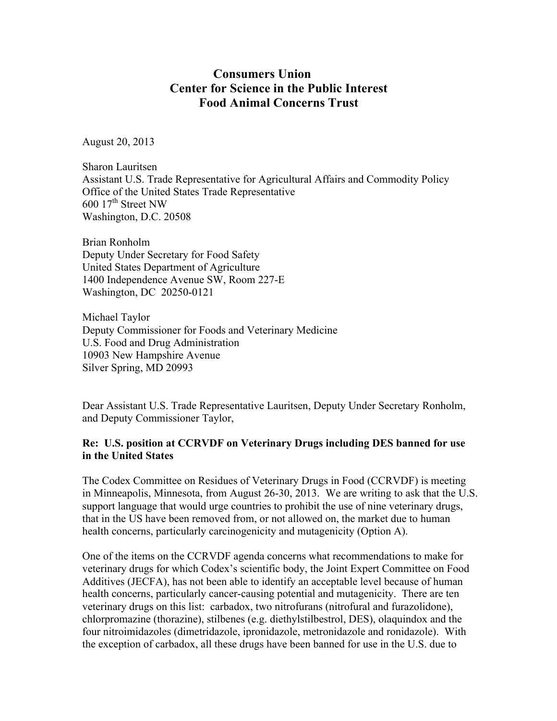## **Consumers Union Center for Science in the Public Interest Food Animal Concerns Trust**

August 20, 2013

Sharon Lauritsen Assistant U.S. Trade Representative for Agricultural Affairs and Commodity Policy Office of the United States Trade Representative  $600$   $17<sup>th</sup>$  Street NW Washington, D.C. 20508

Brian Ronholm Deputy Under Secretary for Food Safety United States Department of Agriculture 1400 Independence Avenue SW, Room 227-E Washington, DC 20250-0121

Michael Taylor Deputy Commissioner for Foods and Veterinary Medicine U.S. Food and Drug Administration 10903 New Hampshire Avenue Silver Spring, MD 20993

Dear Assistant U.S. Trade Representative Lauritsen, Deputy Under Secretary Ronholm, and Deputy Commissioner Taylor,

## **Re: U.S. position at CCRVDF on Veterinary Drugs including DES banned for use in the United States**

The Codex Committee on Residues of Veterinary Drugs in Food (CCRVDF) is meeting in Minneapolis, Minnesota, from August 26-30, 2013. We are writing to ask that the U.S. support language that would urge countries to prohibit the use of nine veterinary drugs, that in the US have been removed from, or not allowed on, the market due to human health concerns, particularly carcinogenicity and mutagenicity (Option A).

One of the items on the CCRVDF agenda concerns what recommendations to make for veterinary drugs for which Codex's scientific body, the Joint Expert Committee on Food Additives (JECFA), has not been able to identify an acceptable level because of human health concerns, particularly cancer-causing potential and mutagenicity. There are ten veterinary drugs on this list: carbadox, two nitrofurans (nitrofural and furazolidone), chlorpromazine (thorazine), stilbenes (e.g. diethylstilbestrol, DES), olaquindox and the four nitroimidazoles (dimetridazole, ipronidazole, metronidazole and ronidazole). With the exception of carbadox, all these drugs have been banned for use in the U.S. due to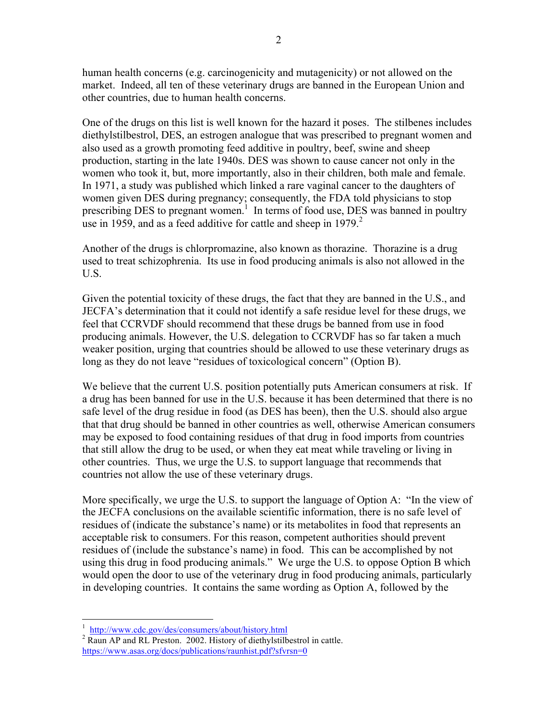human health concerns (e.g. carcinogenicity and mutagenicity) or not allowed on the market. Indeed, all ten of these veterinary drugs are banned in the European Union and other countries, due to human health concerns.

One of the drugs on this list is well known for the hazard it poses. The stilbenes includes diethylstilbestrol, DES, an estrogen analogue that was prescribed to pregnant women and also used as a growth promoting feed additive in poultry, beef, swine and sheep production, starting in the late 1940s. DES was shown to cause cancer not only in the women who took it, but, more importantly, also in their children, both male and female. In 1971, a study was published which linked a rare vaginal cancer to the daughters of women given DES during pregnancy; consequently, the FDA told physicians to stop prescribing DES to pregnant women.<sup>1</sup> In terms of food use, DES was banned in poultry use in 1959, and as a feed additive for cattle and sheep in  $1979<sup>2</sup>$ .

Another of the drugs is chlorpromazine, also known as thorazine. Thorazine is a drug used to treat schizophrenia. Its use in food producing animals is also not allowed in the U.S.

Given the potential toxicity of these drugs, the fact that they are banned in the U.S., and JECFA's determination that it could not identify a safe residue level for these drugs, we feel that CCRVDF should recommend that these drugs be banned from use in food producing animals. However, the U.S. delegation to CCRVDF has so far taken a much weaker position, urging that countries should be allowed to use these veterinary drugs as long as they do not leave "residues of toxicological concern" (Option B).

We believe that the current U.S. position potentially puts American consumers at risk. If a drug has been banned for use in the U.S. because it has been determined that there is no safe level of the drug residue in food (as DES has been), then the U.S. should also argue that that drug should be banned in other countries as well, otherwise American consumers may be exposed to food containing residues of that drug in food imports from countries that still allow the drug to be used, or when they eat meat while traveling or living in other countries. Thus, we urge the U.S. to support language that recommends that countries not allow the use of these veterinary drugs.

More specifically, we urge the U.S. to support the language of Option A: "In the view of the JECFA conclusions on the available scientific information, there is no safe level of residues of (indicate the substance's name) or its metabolites in food that represents an acceptable risk to consumers. For this reason, competent authorities should prevent residues of (include the substance's name) in food. This can be accomplished by not using this drug in food producing animals." We urge the U.S. to oppose Option B which would open the door to use of the veterinary drug in food producing animals, particularly in developing countries. It contains the same wording as Option A, followed by the

 $\frac{1}{1}$ 

 $\frac{1}{2}$  http://www.cdc.gov/des/consumers/about/history.html  $\frac{2002}{1}$  Raun AP and RL Preston. 2002. History of diethylstilbestrol in cattle. https://www.asas.org/docs/publications/raunhist.pdf?sfvrsn=0